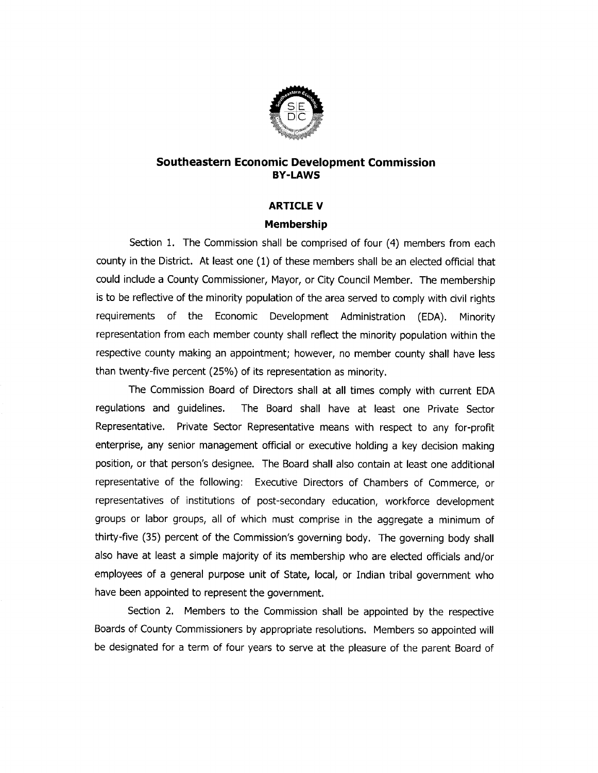

## Southeastern Economic Development Commission<br>BY-LAWS<br>ARTICLE V<br>Membership **BY-LAWS**

## Membership

**1THE V<br>1The Commission shall be comprised of four (4) members from each**<br>1. The Commission shall be comprised of four (4) members from each Section 1. The Commission shall be comprised of four (4) members from each<br>county in the District. At least one (1) of these members shall be an elected official that Section 1. The Commission shall be comprised of four (4) members from each<br>county in the District. At least one (1) of these members shall be an elected official that<br>could include a County Commissioner, Mayor, or City Cou to be reflective of the minority population of the area served to comply with civil rights<br>is to be reflective of the minority population of the area served to comply with civil rights<br>requirements of the Economic Developm requirements of the Economic Development Administration (EDA). Minority<br>representation from each member county shall reflect the minority population within the representation from each member county shall reflect the minority population within the<br>respective county making an appointment; however, no member county shall have less representation non-each member coanty shall renect the minority population within the<br>respective county making an appointment; however, no member county shall have less<br>than twenty-five percent (25%) of its representation

The Commission Board of Directors shall at all times comply with current EDA<br>regulations and quidelines. The Board shall have at least one Private Sector Representative. Private Sector Representative means with respect to any for-profit enterprise, any senior management official or executive holding a key decision making position, or that person's designee. The Board shall also contain at least one additional enterprise, any senior management official or executive holding a key decision making<br>position, or that person's designee. The Board shall also contain at least one additional<br>representative of the following: Executive Dir representative of the following: Executive Director<br>representatives of institutions of post-secondary e-<br>groups or labor groups, all of which must comprise<br>thirty-five (35) percent of the Commission's governing in the aggregate a minimum of tepresentatives or institutions or post-secondary education, workforce development<br>groups or labor groups, all of which must comprise in the aggregate a minimum of<br>thirty-five (35) percent of the Commission's governing bod groups or labor groups, all of which must comprise in the aggregate a minimum of<br>thirty-five (35) percent of the Commission's governing body. The governing body shall<br>also have at least a simple majority of its membership thirty-five (35) percent of the Commission's governing body. The governing body shall<br>also have at least a simple majority of its membership who are elected officials and/or<br>employees of a general purpose unit of State, lo employees of a general purpose unit of State, low<br>have been appointed to represent the government.

have been appointed to represent the government.<br>Section 2. Members to the Commission shall be appointed by the respective have been appointed to represent the government.<br>Section 2. Members to the Commission shall be appointed by the respective<br>Boards of County Commissioners by appropriate resolutions. Members so appointed will<br>be designated Boards of County Commissioners by appropriate resolutions. Me<br>be designated for a term of four years to serve at the pleasure